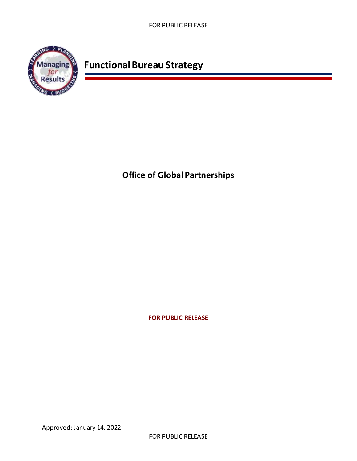

# **Functional Bureau Strategy**

 **Office of Global Partnerships** 

 **FOR PUBLIC RELEASE** 

Approved: January 14, 2022

FOR PUBLIC RELEASE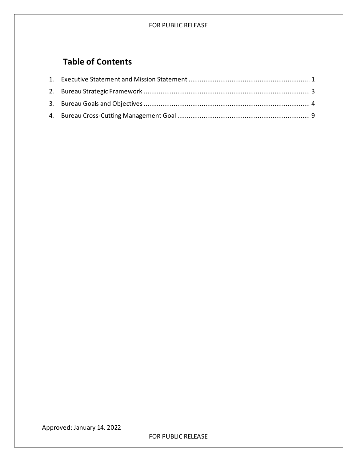## **Table of Contents**

Approved: January 14, 2022

FOR PUBLIC RELEASE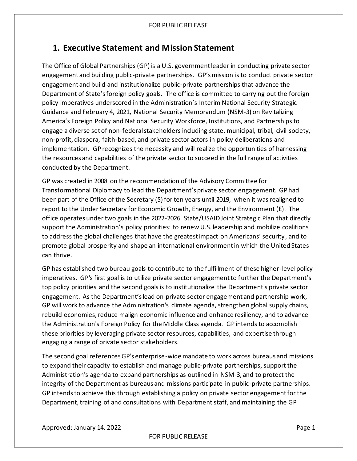# <span id="page-2-0"></span> **1. Executive Statement and Mission Statement**

 The Office of Global Partnerships (GP) is a U.S. government leader in conducting private sector engagement and building public-private partnerships. GP'smission is to conduct private sector engagement and build and institutionalize public-private partnerships that advance the Department of State'sforeign policy goals. The office is committed to carrying out the foreign policy imperatives underscored in the Administration's Interim National Security Strategic Guidance and February 4, 2021, National Security Memorandum (NSM-3) on Revitalizing America's Foreign Policy and National Security Workforce, Institutions, and Partnerships to engage a diverse set of non-federal stakeholders including state, municipal, tribal, civil society, non-profit, diaspora, faith-based, and private sector actors in policy deliberations and implementation. GP recognizes the necessity and will realize the opportunities of harnessing the resources and capabilities of the private sector to succeed in the full range of activities conducted by the Department.

 GP was created in 2008 on the recommendation of the Advisory Committee for Transformational Diplomacy to lead the Department's private sector engagement. GP had been part of the Office of the Secretary (S) for ten years until 2019, when it was realigned to report to the Under Secretary for Economic Growth, Energy, and the Environment (E). The office operates under two goals in the 2022-2026 State/USAID Joint Strategic Plan that directly support the Administration's policy priorities: to renew U.S. leadership and mobilize coalitions to address the global challenges that have the greatest impact on Americans' security, and to promote global prosperity and shape an international environment in which the United States can thrive.

 GP has established two bureau goals to contribute to the fulfillment of these higher-levelpolicy imperatives. GP's first goal is to utilize private sector engagement to further the Department's top policy priorities and the second goals is to institutionalize the Department's private sector engagement. As the Department'slead on private sector engagement and partnership work, GP will work to advance the Administration's climate agenda, strengthen global supply chains, rebuild economies, reduce malign economic influence and enhance resiliency, and to advance the Administration's Foreign Policy for the Middle Class agenda. GP intends to accomplish these priorities by leveraging private sector resources, capabilities, and expertise through engaging a range of private sector stakeholders.

 The second goal references GP's enterprise-wide mandate to work across bureaus and missions to expand their capacity to establish and manage public-private partnerships, support the Administration's agenda to expand partnerships as outlined in NSM-3, and to protect the integrity of the Department as bureaus and missions participate in public-private partnerships. GP intends to achieve this through establishing a policy on private sector engagement for the Department, training of and consultations with Department staff, and maintaining the GP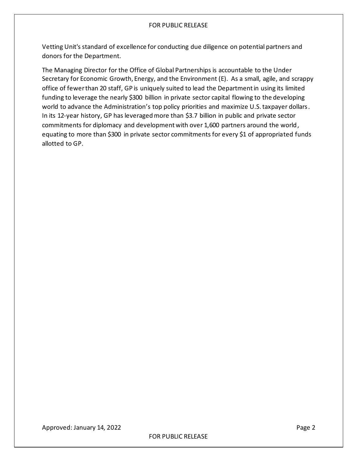Vetting Unit's standard of excellence for conducting due diligence on potential partners and donors for the Department.

 The Managing Director for the Office of Global Partnerships is accountable to the Under Secretary for Economic Growth, Energy, and the Environment (E). As a small, agile, and scrappy office of fewer than 20 staff, GP is uniquely suited to lead the Department in using its limited funding to leverage the nearly \$300 billion in private sector capital flowing to the developing world to advance the Administration's top policy priorities and maximize U.S.taxpayer dollars. In its 12-year history, GP has leveraged more than \$3.7 billion in public and private sector commitments for diplomacy and development with over 1,600 partners around the world, equating to more than \$300 in private sector commitments for every \$1 of appropriated funds allotted to GP.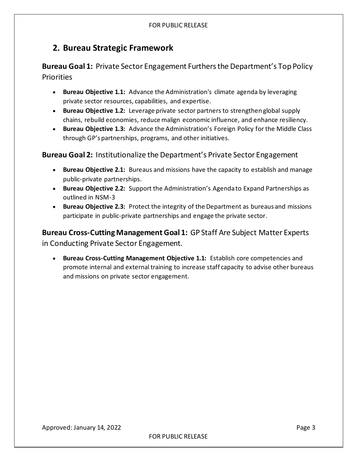# <span id="page-4-0"></span> **2. Bureau Strategic Framework**

 **Bureau Goal 1:** Private Sector Engagement Furthers the Department's Top Policy **Priorities** 

- • **Bureau Objective 1.1:** Advance the Administration's climate agenda by leveraging private sector resources, capabilities, and expertise.
- • **Bureau Objective 1.2:** Leverage private sector partners to strengthen global supply chains, rebuild economies, reduce malign economic influence, and enhance resiliency.
- **Bureau Objective 1.3:** Advance the Administration's Foreign Policy for the Middle Class through GP's partnerships, programs, and other initiatives.

**Bureau Goal 2:** Institutionalize the Department's Private Sector Engagement

- • **Bureau Objective 2.1:** Bureaus and missions have the capacity to establish and manage public-private partnerships.
- • **Bureau Objective 2.2:** Support the Administration's Agenda to Expand Partnerships as outlined in NSM-3
- **Bureau Objective 2.3:** Protect the integrity of the Department as bureaus and missions participate in public-private partnerships and engage the private sector.

 **Bureau Cross-Cutting Management Goal 1:** GP Staff Are Subject Matter Experts in Conducting Private Sector Engagement.

 • **Bureau Cross-Cutting Management Objective 1.1:** Establish core competencies and promote internal and external training to increase staff capacity to advise other bureaus and missions on private sector engagement.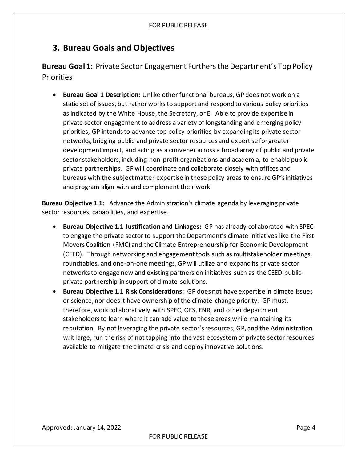### <span id="page-5-0"></span>**3. Bureau Goals and Objectives**

 **Bureau Goal 1:** Private Sector Engagement Furthers the Department's Top Policy **Priorities** 

 • **Bureau Goal 1 Description:** Unlike other functional bureaus, GP does not work on a static set of issues, but rather works to support and respond to various policy priorities as indicated by the White House, the Secretary, or E. Able to provide expertise in private sector engagement to address a variety of longstanding and emerging policy priorities, GP intends to advance top policy priorities by expanding its private sector networks, bridging public and private sector resources and expertise forgreater development impact, and acting as a convener across a broad array of public and private sector stakeholders, including non-profit organizations and academia, to enable public- private partnerships. GP will coordinate and collaborate closely with offices and bureaus with the subject matter expertise in these policy areas to ensure GP'sinitiatives and program align with and complement their work.

 **Bureau Objective 1.1:** Advance the Administration's climate agenda by leveraging private sector resources, capabilities, and expertise.

- **Bureau Objective 1.1 Justification and Linkages:** GP has already collaborated with SPEC to engage the private sector to support the Department's climate initiatives like the First Movers Coalition (FMC) and the Climate Entrepreneurship for Economic Development (CEED). Through networking and engagement tools such as multistakeholder meetings, roundtables, and one-on-one meetings, GP will utilize and expand its private sector networks to engage new and existing partners on initiatives such as the CEED public-private partnership in support of climate solutions.
- **Bureau Objective 1.1 Risk Considerations:** GP does not have expertise in climate issues or science, nor does it have ownership of the climate change priority. GP must, therefore, work collaboratively with SPEC, OES, ENR, and other department stakeholders to learn where it can add value to these areas while maintaining its reputation. By not leveraging the private sector'sresources, GP, and the Administration writ large, run the risk of not tapping into the vast ecosystem of private sector resources available to mitigate the climate crisis and deploy innovative solutions.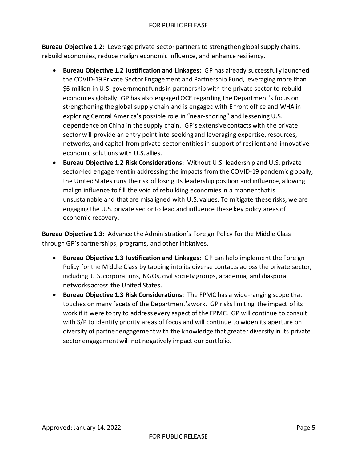**Bureau Objective 1.2:** Leverage private sector partners to strengthen global supply chains, rebuild economies, reduce malign economic influence, and enhance resiliency.

- • **Bureau Objective 1.2 Justification and Linkages:** GP has already successfully launched the COVID-19 Private Sector Engagement and Partnership Fund, leveraging more than \$6 million in U.S. government funds in partnership with the private sector to rebuild economies globally. GP has also engagedOCE regarding the Department's focus on strengthening the global supply chain and is engaged with E front office and WHA in exploring Central America's possible role in "near-shoring" and lessening U.S. dependence on China in the supply chain. GP's extensive contacts with the private sector will provide an entry point into seeking and leveraging expertise, resources, networks, and capital from private sector entities in support of resilient and innovative economic solutions with U.S. allies.
- • **Bureau Objective 1.2 Risk Considerations:** Without U.S. leadership and U.S. private sector-led engagement in addressing the impacts from the COVID-19 pandemic globally, the United States runs the risk of losing its leadership position and influence, allowing malign influence to fill the void of rebuilding economies in a manner that is unsustainable and that are misaligned with U.S. values. To mitigate these risks, we are engaging the U.S. private sector to lead and influence these key policy areas of economic recovery.

 **Bureau Objective 1.3:** Advance the Administration's Foreign Policy for the Middle Class through GP's partnerships, programs, and other initiatives.

- • **Bureau Objective 1.3 Justification and Linkages:** GP can help implement the Foreign Policy for the Middle Class by tapping into its diverse contacts across the private sector, including U.S. corporations, NGOs, civil society groups, academia, and diaspora networks across the United States.
- • **Bureau Objective 1.3 Risk Considerations:** The FPMC has a wide-ranging scope that touches on many facets of the Department'swork. GP risks limiting the impact of its work if it were to try to address every aspect of the FPMC. GP will continue to consult with S/P to identify priority areas of focus and will continue to widen its aperture on diversity of partner engagement with the knowledge that greater diversity in its private sector engagement will not negatively impact our portfolio.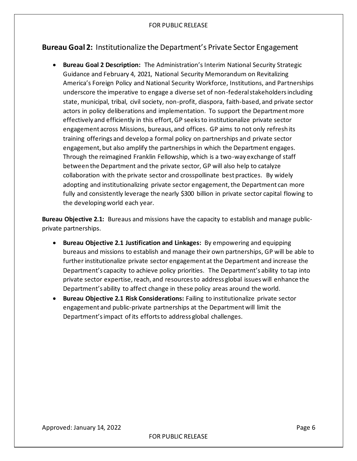### **Bureau Goal 2:** Institutionalize the Department's Private Sector Engagement

 • **Bureau Goal 2 Description:** The Administration's Interim National Security Strategic Guidance and February 4, 2021, National Security Memorandum on Revitalizing America's Foreign Policy and National Security Workforce, Institutions, and Partnerships underscore the imperative to engage a diverse set of non-federal stakeholders including state, municipal, tribal, civil society, non-profit, diaspora, faith-based, and private sector actors in policy deliberations and implementation. To support the Department more effectively and efficiently in this effort, GP seeks to institutionalize private sector engagement across Missions, bureaus, and offices. GP aims to not only refresh its training offerings and develop a formal policy on partnerships and private sector engagement, but also amplify the partnerships in which the Department engages. Through the reimagined Franklin Fellowship, which is a two-way exchange of staff between the Department and the private sector, GP will also help to catalyze collaboration with the private sector and crosspollinate best practices. By widely adopting and institutionalizing private sector engagement, the Department can more fully and consistently leverage the nearly \$300 billion in private sector capital flowing to the developing world each year.

 **Bureau Objective 2.1:** Bureaus and missions have the capacity to establish and manage publicprivate partnerships.

- • **Bureau Objective 2.1 Justification and Linkages:** By empowering and equipping bureaus and missions to establish and manage their own partnerships, GP will be able to further institutionalize private sector engagement at the Department and increase the Department's capacity to achieve policy priorities. The Department's ability to tap into private sector expertise, reach, and resources to address global issues will enhance the Department's ability to affect change in these policy areas around the world.
- • **Bureau Objective 2.1 Risk Considerations:** Failing to institutionalize private sector engagement and public-private partnerships at the Department will limit the Department'simpact of its effortsto address global challenges.

Approved: January 14, 2022 **Page 6**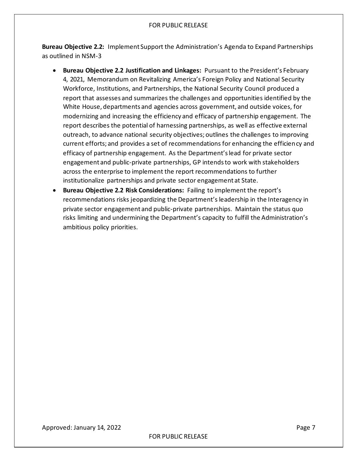**Bureau Objective 2.2:** Implement Support the Administration's Agenda to Expand Partnerships as outlined in NSM-3

- • **Bureau Objective 2.2 Justification and Linkages:** Pursuant to the President's February 4, 2021, Memorandum on Revitalizing America's Foreign Policy and National Security Workforce, Institutions, and Partnerships, the National Security Council produced a report that assesses and summarizes the challenges and opportunities identified by the White House, departments and agencies across government, and outside voices, for modernizing and increasing the efficiency and efficacy of partnership engagement. The report describes the potential of harnessing partnerships, as well as effective external outreach, to advance national security objectives; outlines the challenges to improving current efforts; and provides a set of recommendations for enhancing the efficiency and efficacy of partnership engagement. As the Department'slead for private sector engagement and public-private partnerships, GP intends to work with stakeholders across the enterprise to implement the report recommendations to further institutionalize partnerships and private sector engagement at State.
- • **Bureau Objective 2.2 Risk Considerations:** Failing to implement the report's recommendations risks jeopardizing the Department's leadership in the Interagency in private sector engagement and public-private partnerships. Maintain the status quo risks limiting and undermining the Department's capacity to fulfill the Administration's ambitious policy priorities.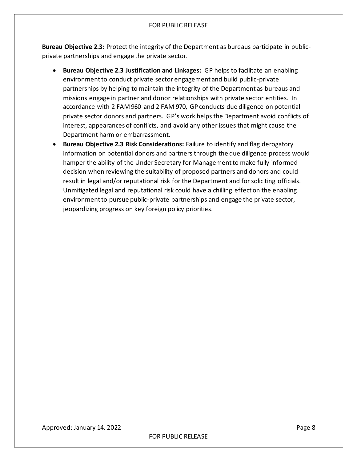**Bureau Objective 2.3:** Protect the integrity of the Department as bureaus participate in public-private partnerships and engage the private sector.

- • **Bureau Objective 2.3 Justification and Linkages:** GP helps to facilitate an enabling environment to conduct private sector engagement and build public-private partnerships by helping to maintain the integrity of the Department as bureaus and missions engage in partner and donor relationships with private sector entities. In accordance with 2 FAM 960 and 2 FAM 970, GP conducts due diligence on potential private sector donors and partners. GP's work helps the Department avoid conflicts of interest, appearances of conflicts, and avoid any other issues that might cause the Department harm or embarrassment.
- • **Bureau Objective 2.3 Risk Considerations:** Failure to identify and flag derogatory information on potential donors and partners through the due diligence process would hamper the ability of the Under Secretary for Management to make fully informed decision when reviewing the suitability of proposed partners and donors and could result in legal and/or reputational risk for the Department and for soliciting officials. Unmitigated legal and reputational risk could have a chilling effect on the enabling environment to pursue public-private partnerships and engage the private sector, jeopardizing progress on key foreign policy priorities.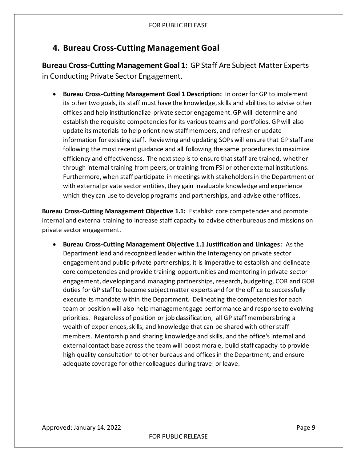### <span id="page-10-0"></span>**4. Bureau Cross-Cutting Management Goal**

 **Bureau Cross-Cutting Management Goal 1:** GP Staff Are Subject Matter Experts in Conducting Private Sector Engagement.

 • **Bureau Cross-Cutting Management Goal 1 Description:** In order for GP to implement its other two goals, its staff must have the knowledge, skills and abilities to advise other offices and help institutionalize private sector engagement. GP will determine and establish the requisite competencies for its various teams and portfolios. GP will also update its materials to help orient new staff members, and refresh or update information for existing staff. Reviewing and updating SOPs will ensure that GP staff are following the most recent guidance and all following the same procedures to maximize efficiency and effectiveness. The next step is to ensure that staff are trained, whether through internal training from peers, or training from FSI or other external institutions. Furthermore, when staff participate in meetings with stakeholders in the Department or with external private sector entities, they gain invaluable knowledge and experience which they can use to develop programs and partnerships, and advise other offices.

 **Bureau Cross-Cutting Management Objective 1.1:** Establish core competencies and promote internal and external training to increase staff capacity to advise other bureaus and missions on private sector engagement.

 • **Bureau Cross-Cutting Management Objective 1.1 Justification and Linkages:** As the Department lead and recognized leader within the Interagency on private sector engagement and public-private partnerships, it is imperative to establish and delineate core competencies and provide training opportunities and mentoring in private sector engagement, developing and managing partnerships, research, budgeting, COR and GOR duties for GP staff to become subject matter experts and for the office to successfully execute its mandate within the Department. Delineating the competencies for each team or position will also help management gage performance and response to evolving priorities. Regardless of position or job classification, all GP staff members bring a wealth of experiences, skills, and knowledge that can be shared with other staff members. Mentorship and sharing knowledge and skills, and the office's internal and external contact base across the team will boost morale, build staff capacity to provide high quality consultation to other bureaus and offices in the Department, and ensure adequate coverage for other colleagues during travel or leave.